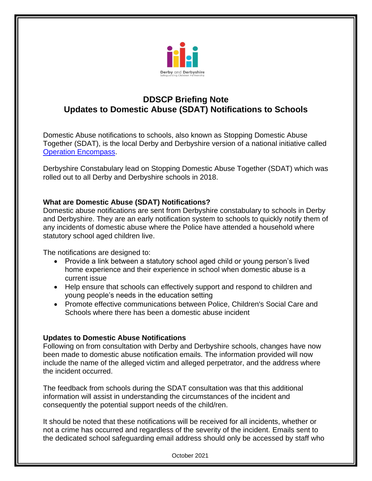

## **DDSCP Briefing Note Updates to Domestic Abuse (SDAT) Notifications to Schools**

Domestic Abuse notifications to schools, also known as Stopping Domestic Abuse Together (SDAT), is the local Derby and Derbyshire version of a national initiative called [Operation Encompass.](https://www.operationencompass.org/)

Derbyshire Constabulary lead on Stopping Domestic Abuse Together (SDAT) which was rolled out to all Derby and Derbyshire schools in 2018.

## **What are Domestic Abuse (SDAT) Notifications?**

Domestic abuse notifications are sent from Derbyshire constabulary to schools in Derby and Derbyshire. They are an early notification system to schools to quickly notify them of any incidents of domestic abuse where the Police have attended a household where statutory school aged children live.

The notifications are designed to:

- Provide a link between a statutory school aged child or young person's lived home experience and their experience in school when domestic abuse is a current issue
- Help ensure that schools can effectively support and respond to children and young people's needs in the education setting
- Promote effective communications between Police, Children's Social Care and Schools where there has been a domestic abuse incident

## **Updates to Domestic Abuse Notifications**

Following on from consultation with Derby and Derbyshire schools, changes have now been made to domestic abuse notification emails. The information provided will now include the name of the alleged victim and alleged perpetrator, and the address where the incident occurred.

The feedback from schools during the SDAT consultation was that this additional information will assist in understanding the circumstances of the incident and consequently the potential support needs of the child/ren.

It should be noted that these notifications will be received for all incidents, whether or not a crime has occurred and regardless of the severity of the incident. Emails sent to the dedicated school safeguarding email address should only be accessed by staff who

October 2021